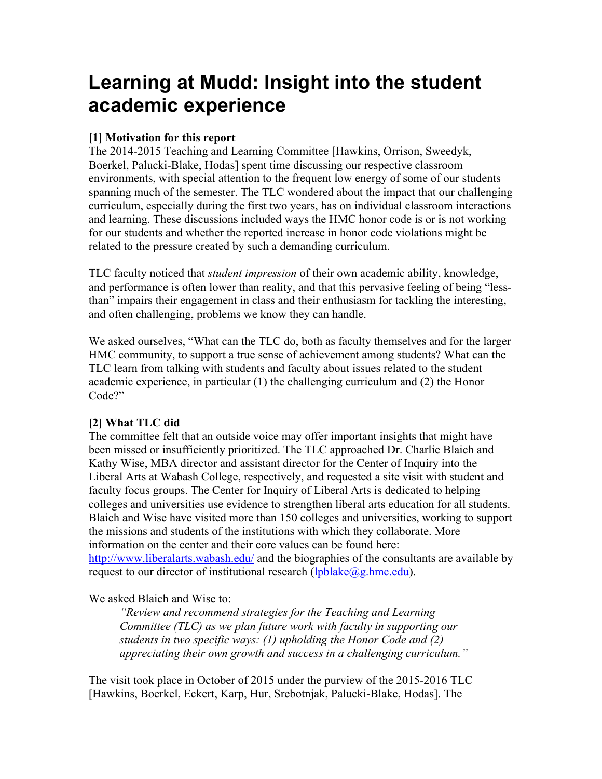# **Learning at Mudd: Insight into the student academic experience**

# **[1] Motivation for this report**

The 2014-2015 Teaching and Learning Committee [Hawkins, Orrison, Sweedyk, Boerkel, Palucki-Blake, Hodas] spent time discussing our respective classroom environments, with special attention to the frequent low energy of some of our students spanning much of the semester. The TLC wondered about the impact that our challenging curriculum, especially during the first two years, has on individual classroom interactions and learning. These discussions included ways the HMC honor code is or is not working for our students and whether the reported increase in honor code violations might be related to the pressure created by such a demanding curriculum.

TLC faculty noticed that *student impression* of their own academic ability, knowledge, and performance is often lower than reality, and that this pervasive feeling of being "lessthan" impairs their engagement in class and their enthusiasm for tackling the interesting, and often challenging, problems we know they can handle.

We asked ourselves, "What can the TLC do, both as faculty themselves and for the larger HMC community, to support a true sense of achievement among students? What can the TLC learn from talking with students and faculty about issues related to the student academic experience, in particular (1) the challenging curriculum and (2) the Honor Code?"

# **[2] What TLC did**

The committee felt that an outside voice may offer important insights that might have been missed or insufficiently prioritized. The TLC approached Dr. Charlie Blaich and Kathy Wise, MBA director and assistant director for the Center of Inquiry into the Liberal Arts at Wabash College, respectively, and requested a site visit with student and faculty focus groups. The Center for Inquiry of Liberal Arts is dedicated to helping colleges and universities use evidence to strengthen liberal arts education for all students. Blaich and Wise have visited more than 150 colleges and universities, working to support the missions and students of the institutions with which they collaborate. More information on the center and their core values can be found here: http://www.liberalarts.wabash.edu/ and the biographies of the consultants are available by request to our director of institutional research (lpblake $(a)$ g.hmc.edu).

We asked Blaich and Wise to:

*"Review and recommend strategies for the Teaching and Learning Committee (TLC) as we plan future work with faculty in supporting our students in two specific ways: (1) upholding the Honor Code and (2) appreciating their own growth and success in a challenging curriculum."* 

The visit took place in October of 2015 under the purview of the 2015-2016 TLC [Hawkins, Boerkel, Eckert, Karp, Hur, Srebotnjak, Palucki-Blake, Hodas]. The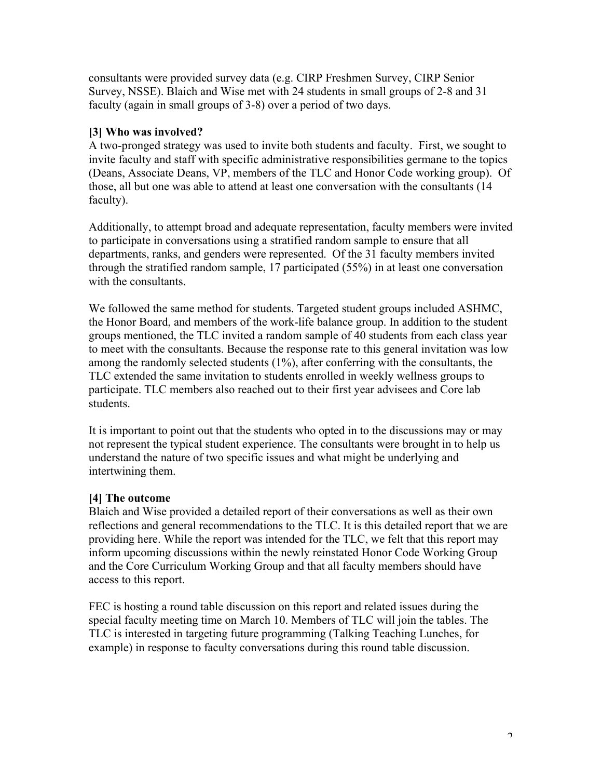faculty (again in small groups of 3-8) over a period of two days. consultants were provided survey data (e.g. CIRP Freshmen Survey, CIRP Senior Survey, NSSE). Blaich and Wise met with 24 students in small groups of 2-8 and 31

# **[3] Who was involved?**

faculty). A two-pronged strategy was used to invite both students and faculty. First, we sought to invite faculty and staff with specific administrative responsibilities germane to the topics (Deans, Associate Deans, VP, members of the TLC and Honor Code working group). Of those, all but one was able to attend at least one conversation with the consultants (14

 through the stratified random sample, 17 participated (55%) in at least one conversation Additionally, to attempt broad and adequate representation, faculty members were invited to participate in conversations using a stratified random sample to ensure that all departments, ranks, and genders were represented. Of the 31 faculty members invited with the consultants.

We followed the same method for students. Targeted student groups included ASHMC, the Honor Board, and members of the work-life balance group. In addition to the student groups mentioned, the TLC invited a random sample of 40 students from each class year to meet with the consultants. Because the response rate to this general invitation was low among the randomly selected students (1%), after conferring with the consultants, the TLC extended the same invitation to students enrolled in weekly wellness groups to participate. TLC members also reached out to their first year advisees and Core lab students.

It is important to point out that the students who opted in to the discussions may or may not represent the typical student experience. The consultants were brought in to help us understand the nature of two specific issues and what might be underlying and intertwining them.

## **[4] The outcome**

Blaich and Wise provided a detailed report of their conversations as well as their own reflections and general recommendations to the TLC. It is this detailed report that we are providing here. While the report was intended for the TLC, we felt that this report may inform upcoming discussions within the newly reinstated Honor Code Working Group and the Core Curriculum Working Group and that all faculty members should have access to this report.

FEC is hosting a round table discussion on this report and related issues during the special faculty meeting time on March 10. Members of TLC will join the tables. The TLC is interested in targeting future programming (Talking Teaching Lunches, for example) in response to faculty conversations during this round table discussion.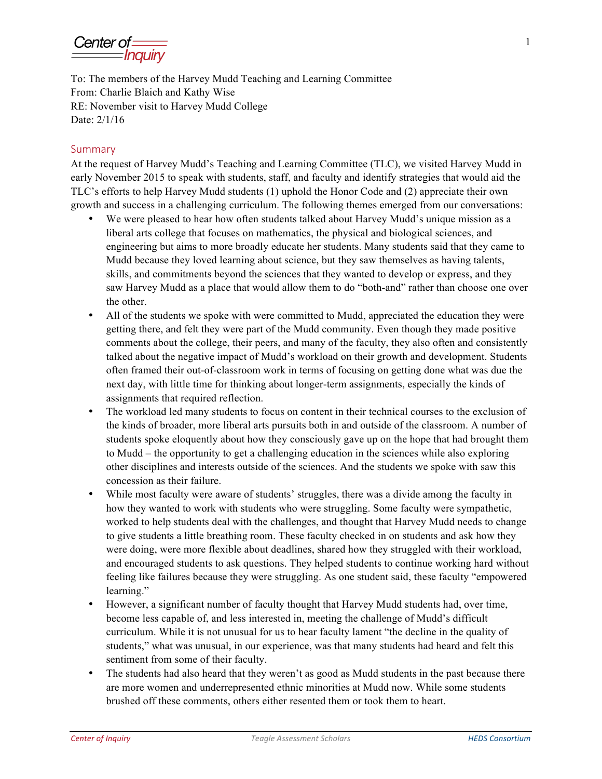Center of **Inquiry** 

 To: The members of the Harvey Mudd Teaching and Learning Committee From: Charlie Blaich and Kathy Wise RE: November visit to Harvey Mudd College Date: 2/1/16

#### Summary

 At the request of Harvey Mudd's Teaching and Learning Committee (TLC), we visited Harvey Mudd in early November 2015 to speak with students, staff, and faculty and identify strategies that would aid the TLC's efforts to help Harvey Mudd students (1) uphold the Honor Code and (2) appreciate their own growth and success in a challenging curriculum. The following themes emerged from our conversations:

- We were pleased to hear how often students talked about Harvey Mudd's unique mission as a liberal arts college that focuses on mathematics, the physical and biological sciences, and engineering but aims to more broadly educate her students. Many students said that they came to Mudd because they loved learning about science, but they saw themselves as having talents, skills, and commitments beyond the sciences that they wanted to develop or express, and they saw Harvey Mudd as a place that would allow them to do "both-and" rather than choose one over the other.
- All of the students we spoke with were committed to Mudd, appreciated the education they were getting there, and felt they were part of the Mudd community. Even though they made positive comments about the college, their peers, and many of the faculty, they also often and consistently talked about the negative impact of Mudd's workload on their growth and development. Students often framed their out-of-classroom work in terms of focusing on getting done what was due the next day, with little time for thinking about longer-term assignments, especially the kinds of assignments that required reflection.
- The workload led many students to focus on content in their technical courses to the exclusion of the kinds of broader, more liberal arts pursuits both in and outside of the classroom. A number of students spoke eloquently about how they consciously gave up on the hope that had brought them other disciplines and interests outside of the sciences. And the students we spoke with saw this concession as their failure. to Mudd – the opportunity to get a challenging education in the sciences while also exploring
- • While most faculty were aware of students' struggles, there was a divide among the faculty in how they wanted to work with students who were struggling. Some faculty were sympathetic, worked to help students deal with the challenges, and thought that Harvey Mudd needs to change to give students a little breathing room. These faculty checked in on students and ask how they were doing, were more flexible about deadlines, shared how they struggled with their workload, and encouraged students to ask questions. They helped students to continue working hard without feeling like failures because they were struggling. As one student said, these faculty "empowered learning."
- • However, a significant number of faculty thought that Harvey Mudd students had, over time, become less capable of, and less interested in, meeting the challenge of Mudd's difficult curriculum. While it is not unusual for us to hear faculty lament "the decline in the quality of students," what was unusual, in our experience, was that many students had heard and felt this sentiment from some of their faculty.
- The students had also heard that they weren't as good as Mudd students in the past because there are more women and underrepresented ethnic minorities at Mudd now. While some students brushed off these comments, others either resented them or took them to heart.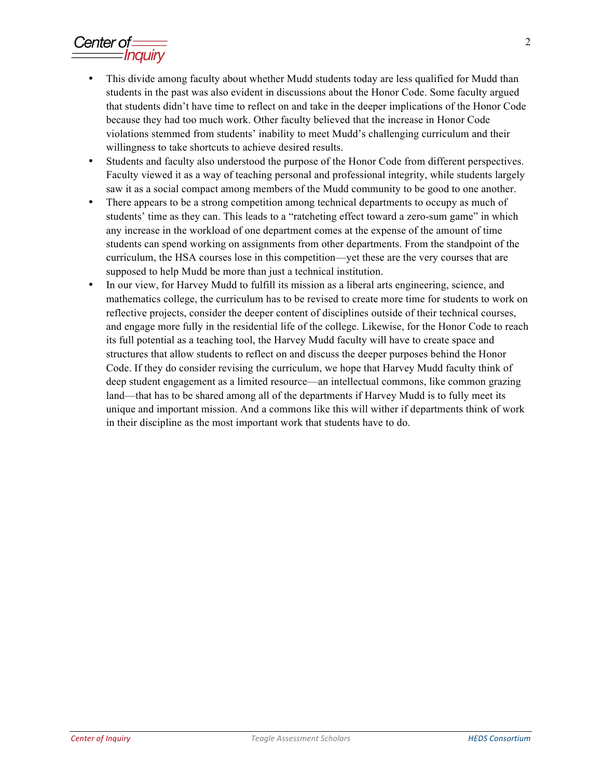Center of *Inquiry* 

- This divide among faculty about whether Mudd students today are less qualified for Mudd than students in the past was also evident in discussions about the Honor Code. Some faculty argued violations stemmed from students' inability to meet Mudd's challenging curriculum and their willingness to take shortcuts to achieve desired results. that students didn't have time to reflect on and take in the deeper implications of the Honor Code because they had too much work. Other faculty believed that the increase in Honor Code
- • Students and faculty also understood the purpose of the Honor Code from different perspectives. Faculty viewed it as a way of teaching personal and professional integrity, while students largely saw it as a social compact among members of the Mudd community to be good to one another.
- There appears to be a strong competition among technical departments to occupy as much of students' time as they can. This leads to a "ratcheting effect toward a zero-sum game" in which any increase in the workload of one department comes at the expense of the amount of time students can spend working on assignments from other departments. From the standpoint of the curriculum, the HSA courses lose in this competition—yet these are the very courses that are supposed to help Mudd be more than just a technical institution.
- In our view, for Harvey Mudd to fulfill its mission as a liberal arts engineering, science, and mathematics college, the curriculum has to be revised to create more time for students to work on and engage more fully in the residential life of the college. Likewise, for the Honor Code to reach structures that allow students to reflect on and discuss the deeper purposes behind the Honor Code. If they do consider revising the curriculum, we hope that Harvey Mudd faculty think of deep student engagement as a limited resource—an intellectual commons, like common grazing unique and important mission. And a commons like this will wither if departments think of work in their discipline as the most important work that students have to do. reflective projects, consider the deeper content of disciplines outside of their technical courses, its full potential as a teaching tool, the Harvey Mudd faculty will have to create space and land—that has to be shared among all of the departments if Harvey Mudd is to fully meet its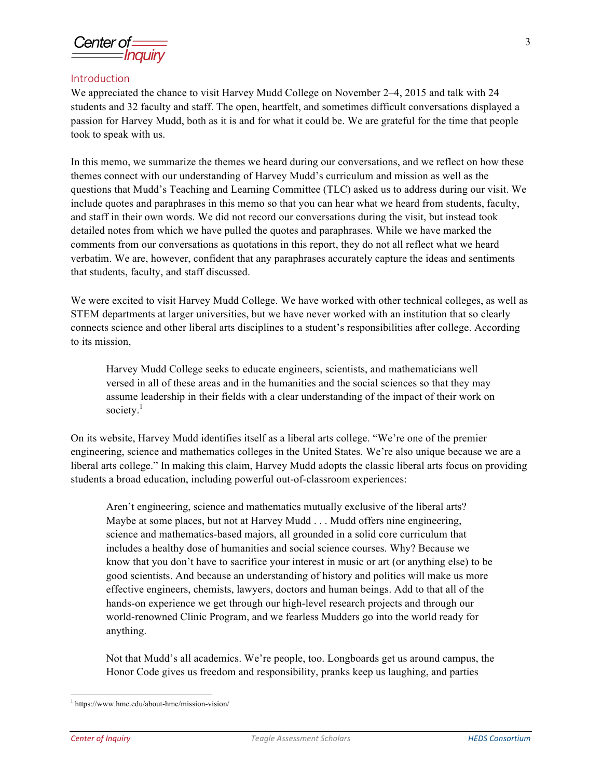Center of

#### Introduction

 We appreciated the chance to visit Harvey Mudd College on November 2–4, 2015 and talk with 24 students and 32 faculty and staff. The open, heartfelt, and sometimes difficult conversations displayed a passion for Harvey Mudd, both as it is and for what it could be. We are grateful for the time that people took to speak with us.

 In this memo, we summarize the themes we heard during our conversations, and we reflect on how these themes connect with our understanding of Harvey Mudd's curriculum and mission as well as the questions that Mudd's Teaching and Learning Committee (TLC) asked us to address during our visit. We include quotes and paraphrases in this memo so that you can hear what we heard from students, faculty, detailed notes from which we have pulled the quotes and paraphrases. While we have marked the comments from our conversations as quotations in this report, they do not all reflect what we heard verbatim. We are, however, confident that any paraphrases accurately capture the ideas and sentiments and staff in their own words. We did not record our conversations during the visit, but instead took that students, faculty, and staff discussed.

 We were excited to visit Harvey Mudd College. We have worked with other technical colleges, as well as STEM departments at larger universities, but we have never worked with an institution that so clearly connects science and other liberal arts disciplines to a student's responsibilities after college. According to its mission,

 Harvey Mudd College seeks to educate engineers, scientists, and mathematicians well versed in all of these areas and in the humanities and the social sciences so that they may assume leadership in their fields with a clear understanding of the impact of their work on society.<sup>1</sup>

 On its website, Harvey Mudd identifies itself as a liberal arts college. "We're one of the premier engineering, science and mathematics colleges in the United States. We're also unique because we are a liberal arts college." In making this claim, Harvey Mudd adopts the classic liberal arts focus on providing students a broad education, including powerful out-of-classroom experiences:

 Maybe at some places, but not at Harvey Mudd . . . Mudd offers nine engineering, science and mathematics-based majors, all grounded in a solid core curriculum that know that you don't have to sacrifice your interest in music or art (or anything else) to be good scientists. And because an understanding of history and politics will make us more effective engineers, chemists, lawyers, doctors and human beings. Add to that all of the hands-on experience we get through our high-level research projects and through our world-renowned Clinic Program, and we fearless Mudders go into the world ready for Aren't engineering, science and mathematics mutually exclusive of the liberal arts? includes a healthy dose of humanities and social science courses. Why? Because we anything.

 Not that Mudd's all academics. We're people, too. Longboards get us around campus, the Honor Code gives us freedom and responsibility, pranks keep us laughing, and parties

<sup>1</sup> https://www.hmc.edu/about-hmc/mission-vision/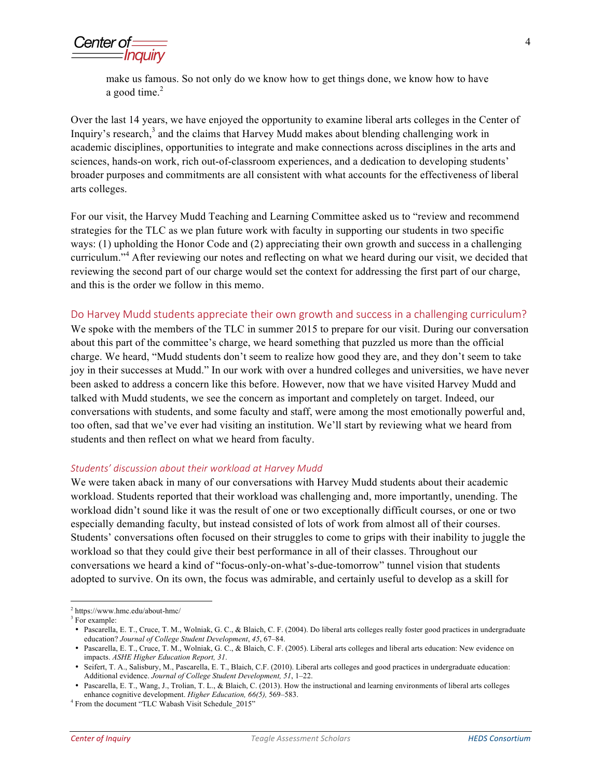Center of

 make us famous. So not only do we know how to get things done, we know how to have a good time.<sup>2</sup>

 Over the last 14 years, we have enjoyed the opportunity to examine liberal arts colleges in the Center of Inquiry's research,<sup>3</sup> and the claims that Harvey Mudd makes about blending challenging work in broader purposes and commitments are all consistent with what accounts for the effectiveness of liberal arts colleges. academic disciplines, opportunities to integrate and make connections across disciplines in the arts and sciences, hands-on work, rich out-of-classroom experiences, and a dedication to developing students'

 For our visit, the Harvey Mudd Teaching and Learning Committee asked us to "review and recommend strategies for the TLC as we plan future work with faculty in supporting our students in two specific ways: (1) upholding the Honor Code and (2) appreciating their own growth and success in a challenging curriculum."<sup>4</sup> After reviewing our notes and reflecting on what we heard during our visit, we decided that reviewing the second part of our charge would set the context for addressing the first part of our charge, and this is the order we follow in this memo.

#### Do Harvey Mudd students appreciate their own growth and success in a challenging curriculum?

We spoke with the members of the TLC in summer 2015 to prepare for our visit. During our conversation about this part of the committee's charge, we heard something that puzzled us more than the official charge. We heard, "Mudd students don't seem to realize how good they are, and they don't seem to take joy in their successes at Mudd." In our work with over a hundred colleges and universities, we have never been asked to address a concern like this before. However, now that we have visited Harvey Mudd and talked with Mudd students, we see the concern as important and completely on target. Indeed, our conversations with students, and some faculty and staff, were among the most emotionally powerful and, too often, sad that we've ever had visiting an institution. We'll start by reviewing what we heard from students and then reflect on what we heard from faculty.

#### *Students' discussion about their workload at Harvey Mudd*

 We were taken aback in many of our conversations with Harvey Mudd students about their academic workload. Students reported that their workload was challenging and, more importantly, unending. The workload didn't sound like it was the result of one or two exceptionally difficult courses, or one or two especially demanding faculty, but instead consisted of lots of work from almost all of their courses. Students' conversations often focused on their struggles to come to grips with their inability to juggle the workload so that they could give their best performance in all of their classes. Throughout our conversations we heard a kind of "focus-only-on-what's-due-tomorrow" tunnel vision that students adopted to survive. On its own, the focus was admirable, and certainly useful to develop as a skill for

<sup>2</sup> https://www.hmc.edu/about-hmc/

<sup>&</sup>lt;sup>3</sup> For example:

 • Pascarella, E. T., Cruce, T. M., Wolniak, G. C., & Blaich, C. F. (2004). Do liberal arts colleges really foster good practices in undergraduate  education? *Journal of College Student Development*, *45*, 67–84.

<sup>•</sup> Pascarella, E. T., Cruce, T. M., Wolniak, G. C., & Blaich, C. F. (2005). Liberal arts colleges and liberal arts education: New evidence on  impacts. *ASHE Higher Education Report, 31*.

 • Seifert, T. A., Salisbury, M., Pascarella, E. T., Blaich, C.F. (2010). Liberal arts colleges and good practices in undergraduate education:  Additional evidence. *Journal of College Student Development, 51*, 1–22.

<sup>•</sup> Pascarella, E. T., Wang, J., Trolian, T. L., & Blaich, C. (2013). How the instructional and learning environments of liberal arts colleges enhance cognitive development. *Higher Education*, 66(5), 569-583. enhance cognitive development. *Higher Education, 66(5), 569–583*. <sup>4</sup> From the document "TLC Wabash Visit Schedule 2015"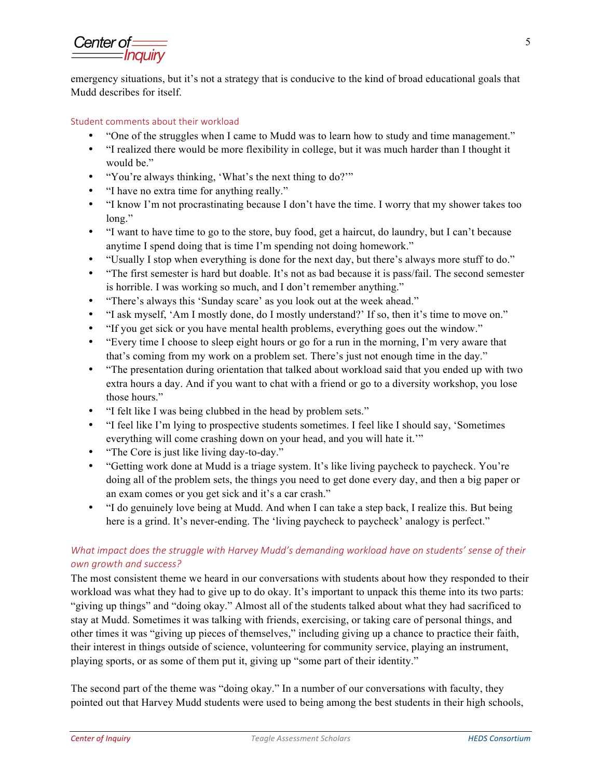Center of

 emergency situations, but it's not a strategy that is conducive to the kind of broad educational goals that Mudd describes for itself.

#### Student comments about their workload

- "One of the struggles when I came to Mudd was to learn how to study and time management."
- • "I realized there would be more flexibility in college, but it was much harder than I thought it would be."
- "You're always thinking, 'What's the next thing to do?"
- "I have no extra time for anything really."
- • "I know I'm not procrastinating because I don't have the time. I worry that my shower takes too long."
- • "I want to have time to go to the store, buy food, get a haircut, do laundry, but I can't because anytime I spend doing that is time I'm spending not doing homework."
- • "Usually I stop when everything is done for the next day, but there's always more stuff to do."
- "The first semester is hard but doable. It's not as bad because it is pass/fail. The second semester is horrible. I was working so much, and I don't remember anything."
- "There's always this 'Sunday scare' as you look out at the week ahead."
- "I ask myself, 'Am I mostly done, do I mostly understand?' If so, then it's time to move on."
- "If you get sick or you have mental health problems, everything goes out the window."
- • "Every time I choose to sleep eight hours or go for a run in the morning, I'm very aware that that's coming from my work on a problem set. There's just not enough time in the day."
- • "The presentation during orientation that talked about workload said that you ended up with two extra hours a day. And if you want to chat with a friend or go to a diversity workshop, you lose those hours."
- "I felt like I was being clubbed in the head by problem sets."
- • "I feel like I'm lying to prospective students sometimes. I feel like I should say, 'Sometimes everything will come crashing down on your head, and you will hate it.'"
- "The Core is just like living day-to-day."
- • "Getting work done at Mudd is a triage system. It's like living paycheck to paycheck. You're doing all of the problem sets, the things you need to get done every day, and then a big paper or an exam comes or you get sick and it's a car crash."
- "I do genuinely love being at Mudd. And when I can take a step back, I realize this. But being here is a grind. It's never-ending. The 'living paycheck to paycheck' analogy is perfect."

#### What impact does the struggle with Harvey Mudd's demanding workload have on students' sense of their *own growth and success?*

 The most consistent theme we heard in our conversations with students about how they responded to their workload was what they had to give up to do okay. It's important to unpack this theme into its two parts: "giving up things" and "doing okay." Almost all of the students talked about what they had sacrificed to stay at Mudd. Sometimes it was talking with friends, exercising, or taking care of personal things, and other times it was "giving up pieces of themselves," including giving up a chance to practice their faith, their interest in things outside of science, volunteering for community service, playing an instrument, playing sports, or as some of them put it, giving up "some part of their identity."

 The second part of the theme was "doing okay." In a number of our conversations with faculty, they pointed out that Harvey Mudd students were used to being among the best students in their high schools,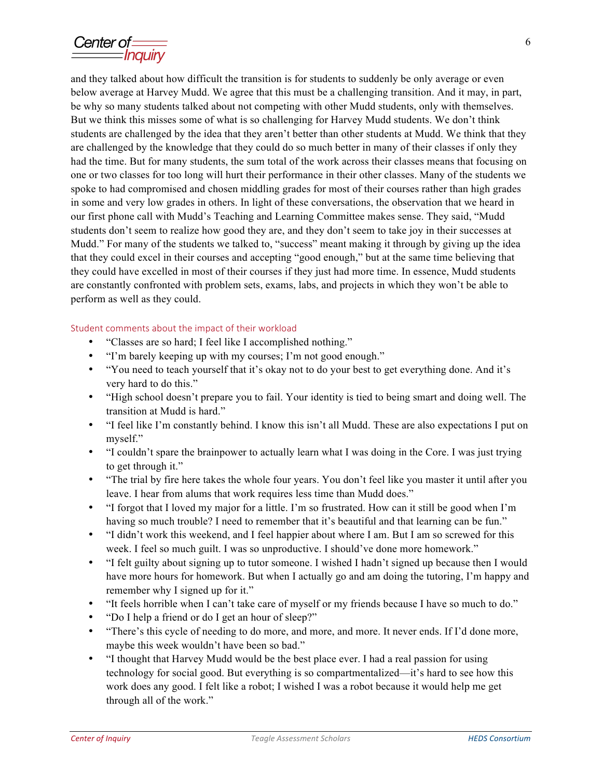Center of

 below average at Harvey Mudd. We agree that this must be a challenging transition. And it may, in part, be why so many students talked about not competing with other Mudd students, only with themselves. But we think this misses some of what is so challenging for Harvey Mudd students. We don't think students are challenged by the idea that they aren't better than other students at Mudd. We think that they are challenged by the knowledge that they could do so much better in many of their classes if only they had the time. But for many students, the sum total of the work across their classes means that focusing on one or two classes for too long will hurt their performance in their other classes. Many of the students we spoke to had compromised and chosen middling grades for most of their courses rather than high grades in some and very low grades in others. In light of these conversations, the observation that we heard in our first phone call with Mudd's Teaching and Learning Committee makes sense. They said, "Mudd Mudd." For many of the students we talked to, "success" meant making it through by giving up the idea that they could excel in their courses and accepting "good enough," but at the same time believing that they could have excelled in most of their courses if they just had more time. In essence, Mudd students are constantly confronted with problem sets, exams, labs, and projects in which they won't be able to perform as well as they could. and they talked about how difficult the transition is for students to suddenly be only average or even students don't seem to realize how good they are, and they don't seem to take joy in their successes at

#### Student comments about the impact of their workload

- • "Classes are so hard; I feel like I accomplished nothing."
- "I'm barely keeping up with my courses; I'm not good enough."
- • "You need to teach yourself that it's okay not to do your best to get everything done. And it's very hard to do this."
- • "High school doesn't prepare you to fail. Your identity is tied to being smart and doing well. The transition at Mudd is hard."
- "I feel like I'm constantly behind. I know this isn't all Mudd. These are also expectations I put on myself."
- "I couldn't spare the brainpower to actually learn what I was doing in the Core. I was just trying to get through it."
- "The trial by fire here takes the whole four years. You don't feel like you master it until after you leave. I hear from alums that work requires less time than Mudd does."
- • "I forgot that I loved my major for a little. I'm so frustrated. How can it still be good when I'm having so much trouble? I need to remember that it's beautiful and that learning can be fun."
- week. I feel so much guilt. I was so unproductive. I should've done more homework." • "I didn't work this weekend, and I feel happier about where I am. But I am so screwed for this
- • "I felt guilty about signing up to tutor someone. I wished I hadn't signed up because then I would have more hours for homework. But when I actually go and am doing the tutoring, I'm happy and remember why I signed up for it."
- • "It feels horrible when I can't take care of myself or my friends because I have so much to do."
- "Do I help a friend or do I get an hour of sleep?"
- • "There's this cycle of needing to do more, and more, and more. It never ends. If I'd done more, maybe this week wouldn't have been so bad."
- • "I thought that Harvey Mudd would be the best place ever. I had a real passion for using technology for social good. But everything is so compartmentalized—it's hard to see how this work does any good. I felt like a robot; I wished I was a robot because it would help me get through all of the work."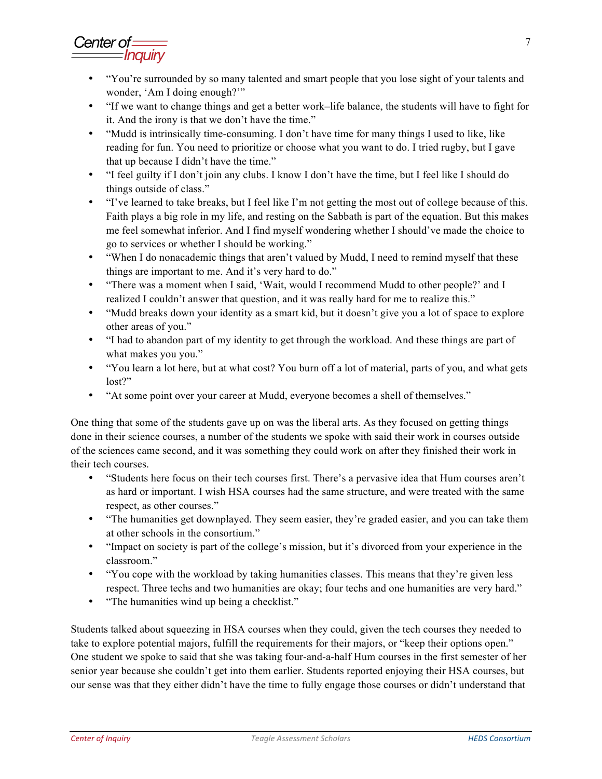# Center of

- • "You're surrounded by so many talented and smart people that you lose sight of your talents and wonder, 'Am I doing enough?'"
- • "If we want to change things and get a better work–life balance, the students will have to fight for it. And the irony is that we don't have the time."
- "Mudd is intrinsically time-consuming. I don't have time for many things I used to like, like reading for fun. You need to prioritize or choose what you want to do. I tried rugby, but I gave that up because I didn't have the time."
- • "I feel guilty if I don't join any clubs. I know I don't have the time, but I feel like I should do things outside of class."
- • "I've learned to take breaks, but I feel like I'm not getting the most out of college because of this. Faith plays a big role in my life, and resting on the Sabbath is part of the equation. But this makes me feel somewhat inferior. And I find myself wondering whether I should've made the choice to go to services or whether I should be working."
- • "When I do nonacademic things that aren't valued by Mudd, I need to remind myself that these things are important to me. And it's very hard to do."
- "There was a moment when I said, 'Wait, would I recommend Mudd to other people?' and I realized I couldn't answer that question, and it was really hard for me to realize this."
- "Mudd breaks down your identity as a smart kid, but it doesn't give you a lot of space to explore other areas of you."
- • "I had to abandon part of my identity to get through the workload. And these things are part of what makes you you."
- • "You learn a lot here, but at what cost? You burn off a lot of material, parts of you, and what gets lost?"
- "At some point over your career at Mudd, everyone becomes a shell of themselves."

 One thing that some of the students gave up on was the liberal arts. As they focused on getting things done in their science courses, a number of the students we spoke with said their work in courses outside of the sciences came second, and it was something they could work on after they finished their work in their tech courses.

- • "Students here focus on their tech courses first. There's a pervasive idea that Hum courses aren't as hard or important. I wish HSA courses had the same structure, and were treated with the same respect, as other courses."
- "The humanities get downplayed. They seem easier, they're graded easier, and you can take them at other schools in the consortium."
- • "Impact on society is part of the college's mission, but it's divorced from your experience in the classroom."
- "You cope with the workload by taking humanities classes. This means that they're given less respect. Three techs and two humanities are okay; four techs and one humanities are very hard."
- "The humanities wind up being a checklist."

 Students talked about squeezing in HSA courses when they could, given the tech courses they needed to take to explore potential majors, fulfill the requirements for their majors, or "keep their options open." One student we spoke to said that she was taking four-and-a-half Hum courses in the first semester of her senior year because she couldn't get into them earlier. Students reported enjoying their HSA courses, but our sense was that they either didn't have the time to fully engage those courses or didn't understand that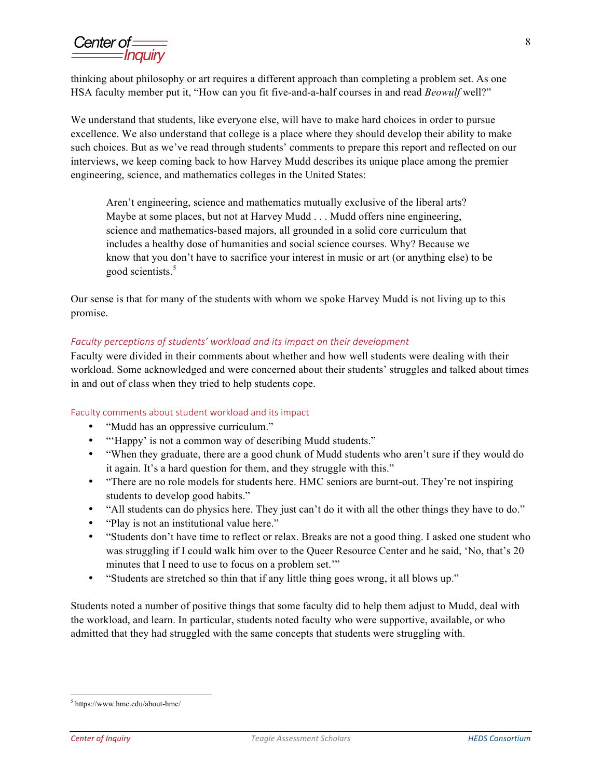Center of

 HSA faculty member put it, "How can you fit five-and-a-half courses in and read *Beowulf* well?" thinking about philosophy or art requires a different approach than completing a problem set. As one

 We understand that students, like everyone else, will have to make hard choices in order to pursue excellence. We also understand that college is a place where they should develop their ability to make such choices. But as we've read through students' comments to prepare this report and reflected on our interviews, we keep coming back to how Harvey Mudd describes its unique place among the premier engineering, science, and mathematics colleges in the United States:

 Maybe at some places, but not at Harvey Mudd . . . Mudd offers nine engineering, science and mathematics-based majors, all grounded in a solid core curriculum that know that you don't have to sacrifice your interest in music or art (or anything else) to be Aren't engineering, science and mathematics mutually exclusive of the liberal arts? includes a healthy dose of humanities and social science courses. Why? Because we good scientists.<sup>5</sup>

 Our sense is that for many of the students with whom we spoke Harvey Mudd is not living up to this promise.

#### *Faculty perceptions of students' workload and its impact on their development*

 Faculty were divided in their comments about whether and how well students were dealing with their workload. Some acknowledged and were concerned about their students' struggles and talked about times in and out of class when they tried to help students cope.

#### Faculty comments about student workload and its impact

- "Mudd has an oppressive curriculum."
- • "'Happy' is not a common way of describing Mudd students."
- • "When they graduate, there are a good chunk of Mudd students who aren't sure if they would do it again. It's a hard question for them, and they struggle with this."
- "There are no role models for students here. HMC seniors are burnt-out. They're not inspiring students to develop good habits."
- "All students can do physics here. They just can't do it with all the other things they have to do."
- "Play is not an institutional value here."
- • "Students don't have time to reflect or relax. Breaks are not a good thing. I asked one student who was struggling if I could walk him over to the Queer Resource Center and he said, 'No, that's 20 minutes that I need to use to focus on a problem set.'"
- • "Students are stretched so thin that if any little thing goes wrong, it all blows up."

 Students noted a number of positive things that some faculty did to help them adjust to Mudd, deal with admitted that they had struggled with the same concepts that students were struggling with. the workload, and learn. In particular, students noted faculty who were supportive, available, or who

<sup>5</sup> https://www.hmc.edu/about-hmc/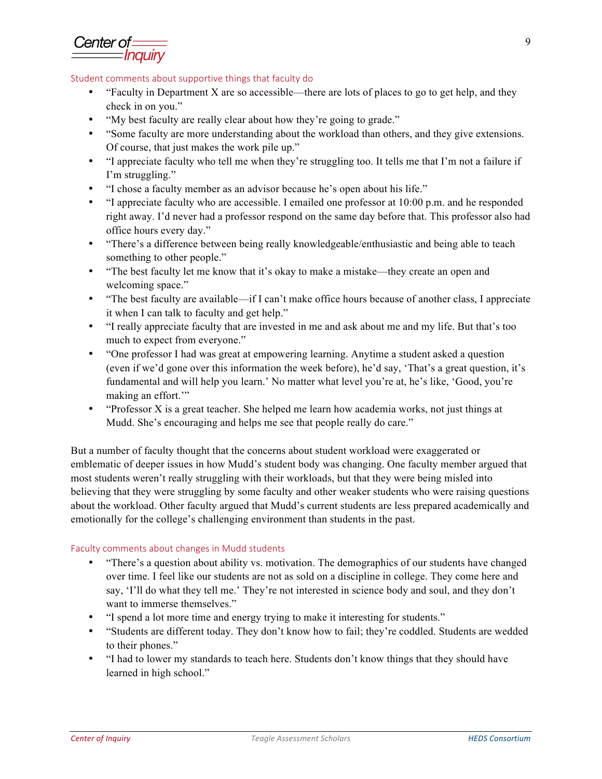Center of

#### Student comments about supportive things that faculty do

- "Faculty in Department X are so accessible—there are lots of places to go to get help, and they check in on you."
- "My best faculty are really clear about how they're going to grade."
- • "Some faculty are more understanding about the workload than others, and they give extensions. Of course, that just makes the work pile up."
- • "I appreciate faculty who tell me when they're struggling too. It tells me that I'm not a failure if I'm struggling."
- "I chose a faculty member as an advisor because he's open about his life."
- • "I appreciate faculty who are accessible. I emailed one professor at 10:00 p.m. and he responded right away. I'd never had a professor respond on the same day before that. This professor also had office hours every day."
- "There's a difference between being really knowledgeable/enthusiastic and being able to teach something to other people."
- "The best faculty let me know that it's okay to make a mistake—they create an open and welcoming space."
- "The best faculty are available—if I can't make office hours because of another class, I appreciate it when I can talk to faculty and get help."
- • "I really appreciate faculty that are invested in me and ask about me and my life. But that's too much to expect from everyone."
- • "One professor I had was great at empowering learning. Anytime a student asked a question (even if we'd gone over this information the week before), he'd say, 'That's a great question, it's fundamental and will help you learn.' No matter what level you're at, he's like, 'Good, you're making an effort.'"
- • "Professor X is a great teacher. She helped me learn how academia works, not just things at Mudd. She's encouraging and helps me see that people really do care."

 But a number of faculty thought that the concerns about student workload were exaggerated or emblematic of deeper issues in how Mudd's student body was changing. One faculty member argued that most students weren't really struggling with their workloads, but that they were being misled into believing that they were struggling by some faculty and other weaker students who were raising questions about the workload. Other faculty argued that Mudd's current students are less prepared academically and emotionally for the college's challenging environment than students in the past.

#### Faculty comments about changes in Mudd students

- "There's a question about ability vs. motivation. The demographics of our students have changed over time. I feel like our students are not as sold on a discipline in college. They come here and say, 'I'll do what they tell me.' They're not interested in science body and soul, and they don't want to immerse themselves."
- • "I spend a lot more time and energy trying to make it interesting for students."
- • "Students are different today. They don't know how to fail; they're coddled. Students are wedded to their phones."
- • "I had to lower my standards to teach here. Students don't know things that they should have learned in high school."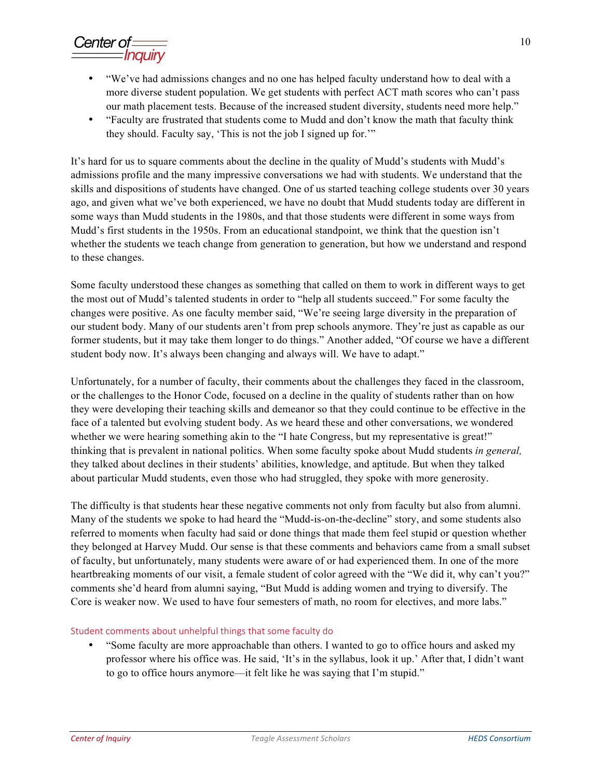Center of

- • "We've had admissions changes and no one has helped faculty understand how to deal with a more diverse student population. We get students with perfect ACT math scores who can't pass our math placement tests. Because of the increased student diversity, students need more help."
- • "Faculty are frustrated that students come to Mudd and don't know the math that faculty think they should. Faculty say, 'This is not the job I signed up for.'"

 admissions profile and the many impressive conversations we had with students. We understand that the skills and dispositions of students have changed. One of us started teaching college students over 30 years ago, and given what we've both experienced, we have no doubt that Mudd students today are different in some ways than Mudd students in the 1980s, and that those students were different in some ways from Mudd's first students in the 1950s. From an educational standpoint, we think that the question isn't whether the students we teach change from generation to generation, but how we understand and respond It's hard for us to square comments about the decline in the quality of Mudd's students with Mudd's to these changes.

 Some faculty understood these changes as something that called on them to work in different ways to get the most out of Mudd's talented students in order to "help all students succeed." For some faculty the changes were positive. As one faculty member said, "We're seeing large diversity in the preparation of our student body. Many of our students aren't from prep schools anymore. They're just as capable as our former students, but it may take them longer to do things." Another added, "Of course we have a different student body now. It's always been changing and always will. We have to adapt."

 Unfortunately, for a number of faculty, their comments about the challenges they faced in the classroom, or the challenges to the Honor Code, focused on a decline in the quality of students rather than on how they were developing their teaching skills and demeanor so that they could continue to be effective in the face of a talented but evolving student body. As we heard these and other conversations, we wondered whether we were hearing something akin to the "I hate Congress, but my representative is great!" thinking that is prevalent in national politics. When some faculty spoke about Mudd students *in general,*  they talked about declines in their students' abilities, knowledge, and aptitude. But when they talked about particular Mudd students, even those who had struggled, they spoke with more generosity.

 The difficulty is that students hear these negative comments not only from faculty but also from alumni. Many of the students we spoke to had heard the "Mudd-is-on-the-decline" story, and some students also referred to moments when faculty had said or done things that made them feel stupid or question whether they belonged at Harvey Mudd. Our sense is that these comments and behaviors came from a small subset of faculty, but unfortunately, many students were aware of or had experienced them. In one of the more heartbreaking moments of our visit, a female student of color agreed with the "We did it, why can't you?" comments she'd heard from alumni saying, "But Mudd is adding women and trying to diversify. The Core is weaker now. We used to have four semesters of math, no room for electives, and more labs."

## Student comments about unhelpful things that some faculty do

 • "Some faculty are more approachable than others. I wanted to go to office hours and asked my professor where his office was. He said, 'It's in the syllabus, look it up.' After that, I didn't want to go to office hours anymore—it felt like he was saying that I'm stupid."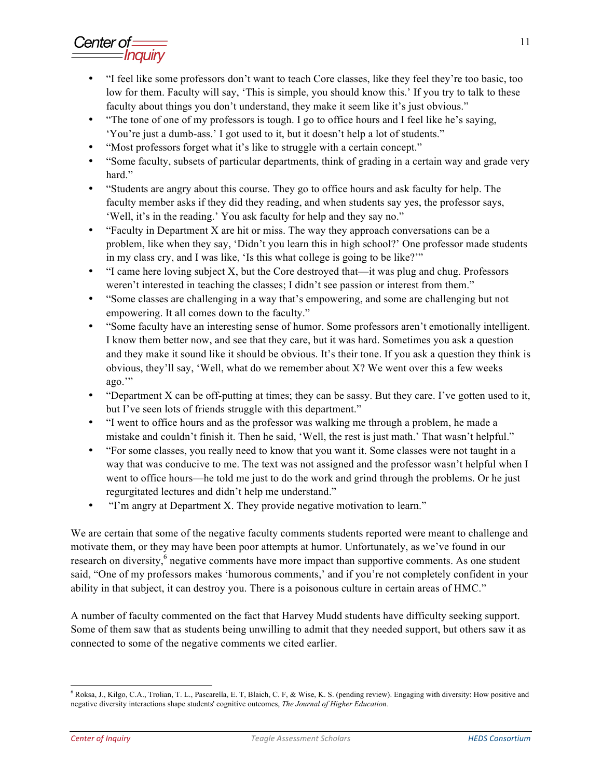# Center of *Inquiry*

- • "I feel like some professors don't want to teach Core classes, like they feel they're too basic, too faculty about things you don't understand, they make it seem like it's just obvious." low for them. Faculty will say, 'This is simple, you should know this.' If you try to talk to these
- "The tone of one of my professors is tough. I go to office hours and I feel like he's saying, 'You're just a dumb-ass.' I got used to it, but it doesn't help a lot of students."
- • "Most professors forget what it's like to struggle with a certain concept."
- • "Some faculty, subsets of particular departments, think of grading in a certain way and grade very hard."
- • "Students are angry about this course. They go to office hours and ask faculty for help. The faculty member asks if they did they reading, and when students say yes, the professor says, 'Well, it's in the reading.' You ask faculty for help and they say no."
- • "Faculty in Department X are hit or miss. The way they approach conversations can be a problem, like when they say, 'Didn't you learn this in high school?' One professor made students in my class cry, and I was like, 'Is this what college is going to be like?'"
- "I came here loving subject X, but the Core destroyed that—it was plug and chug. Professors weren't interested in teaching the classes; I didn't see passion or interest from them."
- • "Some classes are challenging in a way that's empowering, and some are challenging but not empowering. It all comes down to the faculty."
- • "Some faculty have an interesting sense of humor. Some professors aren't emotionally intelligent. I know them better now, and see that they care, but it was hard. Sometimes you ask a question and they make it sound like it should be obvious. It's their tone. If you ask a question they think is obvious, they'll say, 'Well, what do we remember about X? We went over this a few weeks ago."
- • "Department X can be off-putting at times; they can be sassy. But they care. I've gotten used to it, but I've seen lots of friends struggle with this department."
- • "I went to office hours and as the professor was walking me through a problem, he made a mistake and couldn't finish it. Then he said, 'Well, the rest is just math.' That wasn't helpful."
- • "For some classes, you really need to know that you want it. Some classes were not taught in a way that was conducive to me. The text was not assigned and the professor wasn't helpful when I went to office hours—he told me just to do the work and grind through the problems. Or he just regurgitated lectures and didn't help me understand."
- "I'm angry at Department X. They provide negative motivation to learn."

 We are certain that some of the negative faculty comments students reported were meant to challenge and motivate them, or they may have been poor attempts at humor. Unfortunately, as we've found in our research on diversity,<sup>6</sup> negative comments have more impact than supportive comments. As one student said, "One of my professors makes 'humorous comments,' and if you're not completely confident in your ability in that subject, it can destroy you. There is a poisonous culture in certain areas of HMC."

 A number of faculty commented on the fact that Harvey Mudd students have difficulty seeking support. Some of them saw that as students being unwilling to admit that they needed support, but others saw it as connected to some of the negative comments we cited earlier.

 $\overline{a}$  negative diversity interactions shape students' cognitive outcomes, *The Journal of Higher Education.*  6 Roksa, J., Kilgo, C.A., Trolian, T. L., Pascarella, E. T, Blaich, C. F, & Wise, K. S. (pending review). Engaging with diversity: How positive and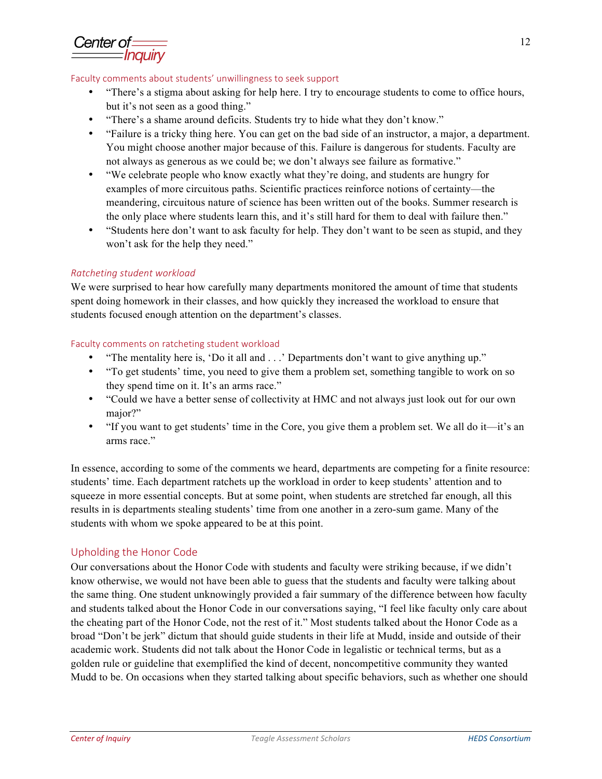Center of

#### Faculty comments about students' unwillingness to seek support

- • "There's a stigma about asking for help here. I try to encourage students to come to office hours, but it's not seen as a good thing."
- "There's a shame around deficits. Students try to hide what they don't know."
- • "Failure is a tricky thing here. You can get on the bad side of an instructor, a major, a department. You might choose another major because of this. Failure is dangerous for students. Faculty are not always as generous as we could be; we don't always see failure as formative."
- • "We celebrate people who know exactly what they're doing, and students are hungry for examples of more circuitous paths. Scientific practices reinforce notions of certainty—the meandering, circuitous nature of science has been written out of the books. Summer research is the only place where students learn this, and it's still hard for them to deal with failure then."
- "Students here don't want to ask faculty for help. They don't want to be seen as stupid, and they won't ask for the help they need."

#### *Ratcheting student workload*

 We were surprised to hear how carefully many departments monitored the amount of time that students students focused enough attention on the department's classes. spent doing homework in their classes, and how quickly they increased the workload to ensure that

#### Faculty comments on ratcheting student workload

- "The mentality here is, 'Do it all and . . .' Departments don't want to give anything up."
- "To get students' time, you need to give them a problem set, something tangible to work on so they spend time on it. It's an arms race."
- • "Could we have a better sense of collectivity at HMC and not always just look out for our own major?"
- "If you want to get students' time in the Core, you give them a problem set. We all do it—it's an arms race"

 In essence, according to some of the comments we heard, departments are competing for a finite resource: students' time. Each department ratchets up the workload in order to keep students' attention and to squeeze in more essential concepts. But at some point, when students are stretched far enough, all this results in is departments stealing students' time from one another in a zero-sum game. Many of the students with whom we spoke appeared to be at this point.

#### Upholding the Honor Code

 Our conversations about the Honor Code with students and faculty were striking because, if we didn't know otherwise, we would not have been able to guess that the students and faculty were talking about and students talked about the Honor Code in our conversations saying, "I feel like faculty only care about the cheating part of the Honor Code, not the rest of it." Most students talked about the Honor Code as a broad "Don't be jerk" dictum that should guide students in their life at Mudd, inside and outside of their academic work. Students did not talk about the Honor Code in legalistic or technical terms, but as a golden rule or guideline that exemplified the kind of decent, noncompetitive community they wanted Mudd to be. On occasions when they started talking about specific behaviors, such as whether one should the same thing. One student unknowingly provided a fair summary of the difference between how faculty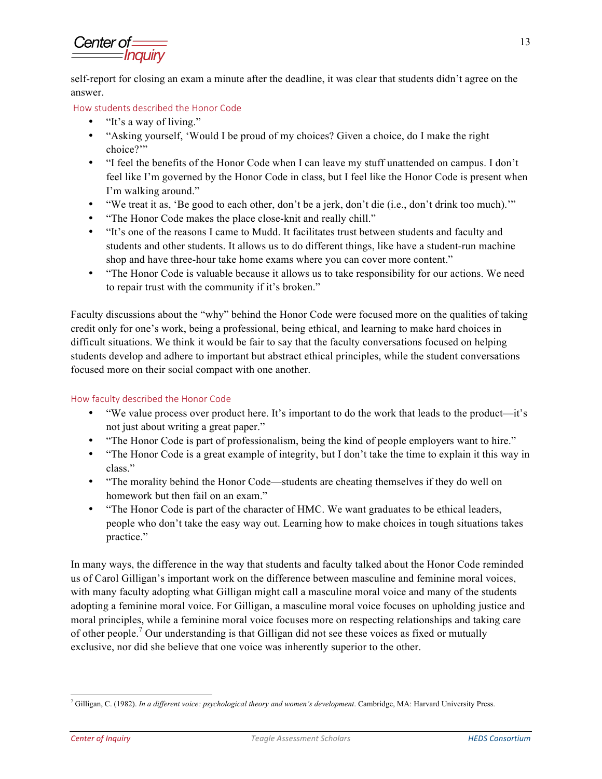Center of

 self-report for closing an exam a minute after the deadline, it was clear that students didn't agree on the answer.

#### How students described the Honor Code

- "It's a way of living."
- "Asking yourself, 'Would I be proud of my choices? Given a choice, do I make the right choice?"
- • "I feel the benefits of the Honor Code when I can leave my stuff unattended on campus. I don't feel like I'm governed by the Honor Code in class, but I feel like the Honor Code is present when I'm walking around."
- • "We treat it as, 'Be good to each other, don't be a jerk, don't die (i.e., don't drink too much).'"
- • "The Honor Code makes the place close-knit and really chill."
- • "It's one of the reasons I came to Mudd. It facilitates trust between students and faculty and students and other students. It allows us to do different things, like have a student-run machine shop and have three-hour take home exams where you can cover more content."
- "The Honor Code is valuable because it allows us to take responsibility for our actions. We need to repair trust with the community if it's broken."

 Faculty discussions about the "why" behind the Honor Code were focused more on the qualities of taking credit only for one's work, being a professional, being ethical, and learning to make hard choices in difficult situations. We think it would be fair to say that the faculty conversations focused on helping students develop and adhere to important but abstract ethical principles, while the student conversations focused more on their social compact with one another.

#### How faculty described the Honor Code

- • "We value process over product here. It's important to do the work that leads to the product—it's not just about writing a great paper."
- "The Honor Code is part of professionalism, being the kind of people employers want to hire."
- "The Honor Code is a great example of integrity, but I don't take the time to explain it this way in class."
- "The morality behind the Honor Code—students are cheating themselves if they do well on homework but then fail on an exam."
- "The Honor Code is part of the character of HMC. We want graduates to be ethical leaders, people who don't take the easy way out. Learning how to make choices in tough situations takes practice."

 In many ways, the difference in the way that students and faculty talked about the Honor Code reminded us of Carol Gilligan's important work on the difference between masculine and feminine moral voices, with many faculty adopting what Gilligan might call a masculine moral voice and many of the students adopting a feminine moral voice. For Gilligan, a masculine moral voice focuses on upholding justice and moral principles, while a feminine moral voice focuses more on respecting relationships and taking care of other people.<sup>7</sup> Our understanding is that Gilligan did not see these voices as fixed or mutually exclusive, nor did she believe that one voice was inherently superior to the other.

<sup>7</sup> Gilligan, C. (1982). *In a different voice: psychological theory and women's development*. Cambridge, MA: Harvard University Press.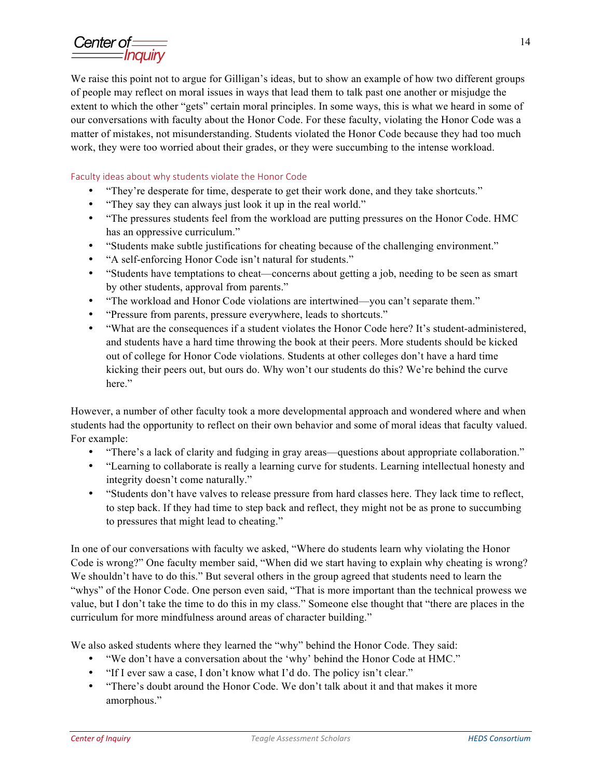Center of

 We raise this point not to argue for Gilligan's ideas, but to show an example of how two different groups of people may reflect on moral issues in ways that lead them to talk past one another or misjudge the extent to which the other "gets" certain moral principles. In some ways, this is what we heard in some of our conversations with faculty about the Honor Code. For these faculty, violating the Honor Code was a matter of mistakes, not misunderstanding. Students violated the Honor Code because they had too much work, they were too worried about their grades, or they were succumbing to the intense workload.

#### Faculty ideas about why students violate the Honor Code

- • "They're desperate for time, desperate to get their work done, and they take shortcuts."
- "They say they can always just look it up in the real world."
- • "The pressures students feel from the workload are putting pressures on the Honor Code. HMC has an oppressive curriculum."
- • "Students make subtle justifications for cheating because of the challenging environment."
- • "A self-enforcing Honor Code isn't natural for students."
- • "Students have temptations to cheat—concerns about getting a job, needing to be seen as smart by other students, approval from parents."
- "The workload and Honor Code violations are intertwined—you can't separate them."
- • "Pressure from parents, pressure everywhere, leads to shortcuts."
- • "What are the consequences if a student violates the Honor Code here? It's student-administered, and students have a hard time throwing the book at their peers. More students should be kicked out of college for Honor Code violations. Students at other colleges don't have a hard time kicking their peers out, but ours do. Why won't our students do this? We're behind the curve here."

 However, a number of other faculty took a more developmental approach and wondered where and when students had the opportunity to reflect on their own behavior and some of moral ideas that faculty valued. For example:

- • "There's a lack of clarity and fudging in gray areas—questions about appropriate collaboration."
- • "Learning to collaborate is really a learning curve for students. Learning intellectual honesty and integrity doesn't come naturally."
- to step back. If they had time to step back and reflect, they might not be as prone to succumbing • "Students don't have valves to release pressure from hard classes here. They lack time to reflect, to pressures that might lead to cheating."

 In one of our conversations with faculty we asked, "Where do students learn why violating the Honor Code is wrong?" One faculty member said, "When did we start having to explain why cheating is wrong? We shouldn't have to do this." But several others in the group agreed that students need to learn the "whys" of the Honor Code. One person even said, "That is more important than the technical prowess we value, but I don't take the time to do this in my class." Someone else thought that "there are places in the curriculum for more mindfulness around areas of character building."

We also asked students where they learned the "why" behind the Honor Code. They said:

- "We don't have a conversation about the 'why' behind the Honor Code at HMC."
- "If I ever saw a case, I don't know what I'd do. The policy isn't clear."
- "There's doubt around the Honor Code. We don't talk about it and that makes it more amorphous."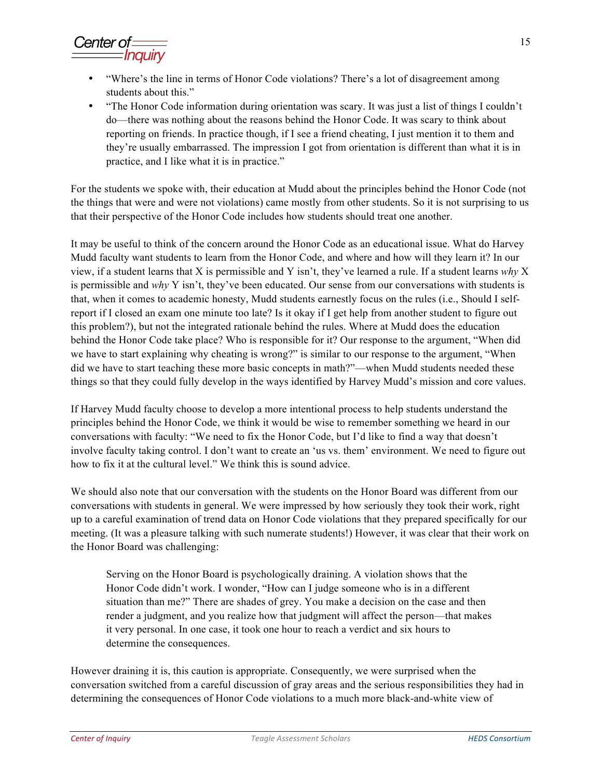Center of *Indully* 

- "Where's the line in terms of Honor Code violations? There's a lot of disagreement among students about this."
- • "The Honor Code information during orientation was scary. It was just a list of things I couldn't do—there was nothing about the reasons behind the Honor Code. It was scary to think about reporting on friends. In practice though, if I see a friend cheating, I just mention it to them and they're usually embarrassed. The impression I got from orientation is different than what it is in practice, and I like what it is in practice."

 For the students we spoke with, their education at Mudd about the principles behind the Honor Code (not the things that were and were not violations) came mostly from other students. So it is not surprising to us that their perspective of the Honor Code includes how students should treat one another.

 It may be useful to think of the concern around the Honor Code as an educational issue. What do Harvey Mudd faculty want students to learn from the Honor Code, and where and how will they learn it? In our view, if a student learns that X is permissible and Y isn't, they've learned a rule. If a student learns *why* X is permissible and *why* Y isn't, they've been educated. Our sense from our conversations with students is that, when it comes to academic honesty, Mudd students earnestly focus on the rules (i.e., Should I self- report if I closed an exam one minute too late? Is it okay if I get help from another student to figure out this problem?), but not the integrated rationale behind the rules. Where at Mudd does the education behind the Honor Code take place? Who is responsible for it? Our response to the argument, "When did we have to start explaining why cheating is wrong?" is similar to our response to the argument, "When did we have to start teaching these more basic concepts in math?"—when Mudd students needed these things so that they could fully develop in the ways identified by Harvey Mudd's mission and core values.

 If Harvey Mudd faculty choose to develop a more intentional process to help students understand the principles behind the Honor Code, we think it would be wise to remember something we heard in our conversations with faculty: "We need to fix the Honor Code, but I'd like to find a way that doesn't involve faculty taking control. I don't want to create an 'us vs. them' environment. We need to figure out how to fix it at the cultural level." We think this is sound advice.

 We should also note that our conversation with the students on the Honor Board was different from our conversations with students in general. We were impressed by how seriously they took their work, right up to a careful examination of trend data on Honor Code violations that they prepared specifically for our meeting. (It was a pleasure talking with such numerate students!) However, it was clear that their work on the Honor Board was challenging:

 Serving on the Honor Board is psychologically draining. A violation shows that the Honor Code didn't work. I wonder, "How can I judge someone who is in a different situation than me?" There are shades of grey. You make a decision on the case and then render a judgment, and you realize how that judgment will affect the person—that makes determine the consequences. it very personal. In one case, it took one hour to reach a verdict and six hours to

 However draining it is, this caution is appropriate. Consequently, we were surprised when the conversation switched from a careful discussion of gray areas and the serious responsibilities they had in determining the consequences of Honor Code violations to a much more black-and-white view of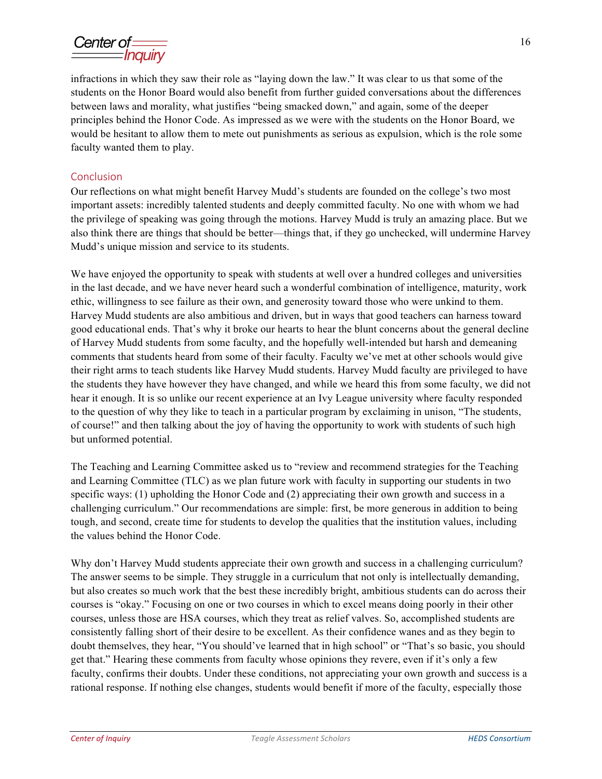# Center of:

 students on the Honor Board would also benefit from further guided conversations about the differences between laws and morality, what justifies "being smacked down," and again, some of the deeper principles behind the Honor Code. As impressed as we were with the students on the Honor Board, we would be hesitant to allow them to mete out punishments as serious as expulsion, which is the role some faculty wanted them to play. infractions in which they saw their role as "laying down the law." It was clear to us that some of the

### Conclusion

 Our reflections on what might benefit Harvey Mudd's students are founded on the college's two most important assets: incredibly talented students and deeply committed faculty. No one with whom we had also think there are things that should be better—things that, if they go unchecked, will undermine Harvey the privilege of speaking was going through the motions. Harvey Mudd is truly an amazing place. But we Mudd's unique mission and service to its students.

 We have enjoyed the opportunity to speak with students at well over a hundred colleges and universities ethic, willingness to see failure as their own, and generosity toward those who were unkind to them. Harvey Mudd students are also ambitious and driven, but in ways that good teachers can harness toward good educational ends. That's why it broke our hearts to hear the blunt concerns about the general decline of Harvey Mudd students from some faculty, and the hopefully well-intended but harsh and demeaning comments that students heard from some of their faculty. Faculty we've met at other schools would give their right arms to teach students like Harvey Mudd students. Harvey Mudd faculty are privileged to have the students they have however they have changed, and while we heard this from some faculty, we did not hear it enough. It is so unlike our recent experience at an Ivy League university where faculty responded to the question of why they like to teach in a particular program by exclaiming in unison, "The students, of course!" and then talking about the joy of having the opportunity to work with students of such high in the last decade, and we have never heard such a wonderful combination of intelligence, maturity, work but unformed potential.

 The Teaching and Learning Committee asked us to "review and recommend strategies for the Teaching and Learning Committee (TLC) as we plan future work with faculty in supporting our students in two specific ways: (1) upholding the Honor Code and (2) appreciating their own growth and success in a challenging curriculum." Our recommendations are simple: first, be more generous in addition to being tough, and second, create time for students to develop the qualities that the institution values, including the values behind the Honor Code.

 The answer seems to be simple. They struggle in a curriculum that not only is intellectually demanding, but also creates so much work that the best these incredibly bright, ambitious students can do across their courses is "okay." Focusing on one or two courses in which to excel means doing poorly in their other courses, unless those are HSA courses, which they treat as relief valves. So, accomplished students are consistently falling short of their desire to be excellent. As their confidence wanes and as they begin to doubt themselves, they hear, "You should've learned that in high school" or "That's so basic, you should get that." Hearing these comments from faculty whose opinions they revere, even if it's only a few faculty, confirms their doubts. Under these conditions, not appreciating your own growth and success is a rational response. If nothing else changes, students would benefit if more of the faculty, especially those Why don't Harvey Mudd students appreciate their own growth and success in a challenging curriculum?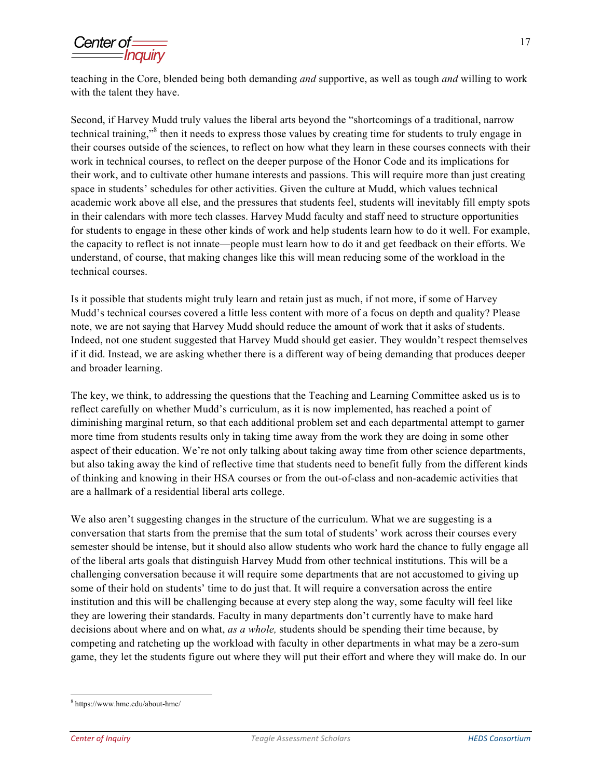Center of

 teaching in the Core, blended being both demanding *and* supportive, as well as tough *and* willing to work with the talent they have.

 Second, if Harvey Mudd truly values the liberal arts beyond the "shortcomings of a traditional, narrow technical training,"<sup>8</sup> then it needs to express those values by creating time for students to truly engage in work in technical courses, to reflect on the deeper purpose of the Honor Code and its implications for their work, and to cultivate other humane interests and passions. This will require more than just creating space in students' schedules for other activities. Given the culture at Mudd, which values technical academic work above all else, and the pressures that students feel, students will inevitably fill empty spots for students to engage in these other kinds of work and help students learn how to do it well. For example, the capacity to reflect is not innate—people must learn how to do it and get feedback on their efforts. We understand, of course, that making changes like this will mean reducing some of the workload in the their courses outside of the sciences, to reflect on how what they learn in these courses connects with their in their calendars with more tech classes. Harvey Mudd faculty and staff need to structure opportunities technical courses.

 Is it possible that students might truly learn and retain just as much, if not more, if some of Harvey Mudd's technical courses covered a little less content with more of a focus on depth and quality? Please note, we are not saying that Harvey Mudd should reduce the amount of work that it asks of students. Indeed, not one student suggested that Harvey Mudd should get easier. They wouldn't respect themselves if it did. Instead, we are asking whether there is a different way of being demanding that produces deeper and broader learning.

 The key, we think, to addressing the questions that the Teaching and Learning Committee asked us is to reflect carefully on whether Mudd's curriculum, as it is now implemented, has reached a point of diminishing marginal return, so that each additional problem set and each departmental attempt to garner more time from students results only in taking time away from the work they are doing in some other aspect of their education. We're not only talking about taking away time from other science departments, of thinking and knowing in their HSA courses or from the out-of-class and non-academic activities that are a hallmark of a residential liberal arts college. but also taking away the kind of reflective time that students need to benefit fully from the different kinds

 We also aren't suggesting changes in the structure of the curriculum. What we are suggesting is a conversation that starts from the premise that the sum total of students' work across their courses every semester should be intense, but it should also allow students who work hard the chance to fully engage all of the liberal arts goals that distinguish Harvey Mudd from other technical institutions. This will be a challenging conversation because it will require some departments that are not accustomed to giving up some of their hold on students' time to do just that. It will require a conversation across the entire they are lowering their standards. Faculty in many departments don't currently have to make hard decisions about where and on what, *as a whole,* students should be spending their time because, by competing and ratcheting up the workload with faculty in other departments in what may be a zero-sum game, they let the students figure out where they will put their effort and where they will make do. In our institution and this will be challenging because at every step along the way, some faculty will feel like

<sup>8</sup> https://www.hmc.edu/about-hmc/